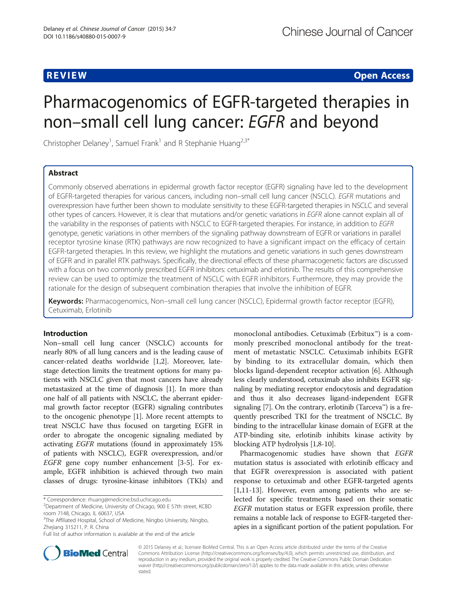**REVIEW CONTROL** CONTROL CONTROL CONTROL CONTROL CONTROL CONTROL CONTROL CONTROL CONTROL CONTROL CONTROL CONTROL CONTROL CONTROL CONTROL CONTROL CONTROL CONTROL CONTROL CONTROL CONTROL CONTROL CONTROL CONTROL CONTROL CONTR

# Pharmacogenomics of EGFR-targeted therapies in non–small cell lung cancer: EGFR and beyond

Christopher Delaney<sup>1</sup>, Samuel Frank<sup>1</sup> and R Stephanie Huang<sup>2,3\*</sup>

# Abstract

Commonly observed aberrations in epidermal growth factor receptor (EGFR) signaling have led to the development of EGFR-targeted therapies for various cancers, including non–small cell lung cancer (NSCLC). EGFR mutations and overexpression have further been shown to modulate sensitivity to these EGFR-targeted therapies in NSCLC and several other types of cancers. However, it is clear that mutations and/or genetic variations in EGFR alone cannot explain all of the variability in the responses of patients with NSCLC to EGFR-targeted therapies. For instance, in addition to EGFR genotype, genetic variations in other members of the signaling pathway downstream of EGFR or variations in parallel receptor tyrosine kinase (RTK) pathways are now recognized to have a significant impact on the efficacy of certain EGFR-targeted therapies. In this review, we highlight the mutations and genetic variations in such genes downstream of EGFR and in parallel RTK pathways. Specifically, the directional effects of these pharmacogenetic factors are discussed with a focus on two commonly prescribed EGFR inhibitors: cetuximab and erlotinib. The results of this comprehensive review can be used to optimize the treatment of NSCLC with EGFR inhibitors. Furthermore, they may provide the rationale for the design of subsequent combination therapies that involve the inhibition of EGFR.

Keywords: Pharmacogenomics, Non-small cell lung cancer (NSCLC), Epidermal growth factor receptor (EGFR), Cetuximab, Erlotinib

# Introduction

Non–small cell lung cancer (NSCLC) accounts for nearly 80% of all lung cancers and is the leading cause of cancer-related deaths worldwide [[1,2\]](#page-9-0). Moreover, latestage detection limits the treatment options for many patients with NSCLC given that most cancers have already metastasized at the time of diagnosis [[1\]](#page-9-0). In more than one half of all patients with NSCLC, the aberrant epidermal growth factor receptor (EGFR) signaling contributes to the oncogenic phenotype [[1\]](#page-9-0). More recent attempts to treat NSCLC have thus focused on targeting EGFR in order to abrogate the oncogenic signaling mediated by activating EGFR mutations (found in approximately 15% of patients with NSCLC), EGFR overexpression, and/or EGFR gene copy number enhancement [[3-5\]](#page-9-0). For example, EGFR inhibition is achieved through two main classes of drugs: tyrosine-kinase inhibitors (TKIs) and

\* Correspondence: [rhuang@medicine.bsd.uchicago.edu](mailto:rhuang@medicine.bsd.uchicago.edu) <sup>2</sup>

monoclonal antibodies. Cetuximab (Erbitux™) is a commonly prescribed monoclonal antibody for the treatment of metastatic NSCLC. Cetuximab inhibits EGFR by binding to its extracellular domain, which then blocks ligand-dependent receptor activation [[6](#page-9-0)]. Although less clearly understood, cetuximab also inhibits EGFR signaling by mediating receptor endocytosis and degradation and thus it also decreases ligand-independent EGFR signaling  $[7]$  $[7]$ . On the contrary, erlotinib (Tarceva™) is a frequently prescribed TKI for the treatment of NSCLC. By binding to the intracellular kinase domain of EGFR at the ATP-binding site, erlotinib inhibits kinase activity by blocking ATP hydrolysis [[1,8](#page-9-0)-[10](#page-9-0)].

Pharmacogenomic studies have shown that EGFR mutation status is associated with erlotinib efficacy and that EGFR overexpression is associated with patient response to cetuximab and other EGFR-targeted agents [[1,11-13](#page-9-0)]. However, even among patients who are selected for specific treatments based on their somatic EGFR mutation status or EGFR expression profile, there remains a notable lack of response to EGFR-targeted therapies in a significant portion of the patient population. For



© 2015 Delaney et al.; licensee BioMed Central. This is an Open Access article distributed under the terms of the Creative Commons Attribution License [\(http://creativecommons.org/licenses/by/4.0\)](http://creativecommons.org/licenses/by/4.0), which permits unrestricted use, distribution, and reproduction in any medium, provided the original work is properly credited. The Creative Commons Public Domain Dedication waiver ([http://creativecommons.org/publicdomain/zero/1.0/\)](http://creativecommons.org/publicdomain/zero/1.0/) applies to the data made available in this article, unless otherwise stated.

<sup>&</sup>lt;sup>2</sup>Department of Medicine, University of Chicago, 900 E 57th street, KCBD room 7148, Chicago, IL 60637, USA

<sup>&</sup>lt;sup>3</sup>The Affiliated Hospital, School of Medicine, Ningbo University, Ningbo, Zhejiang 315211, P. R. China

Full list of author information is available at the end of the article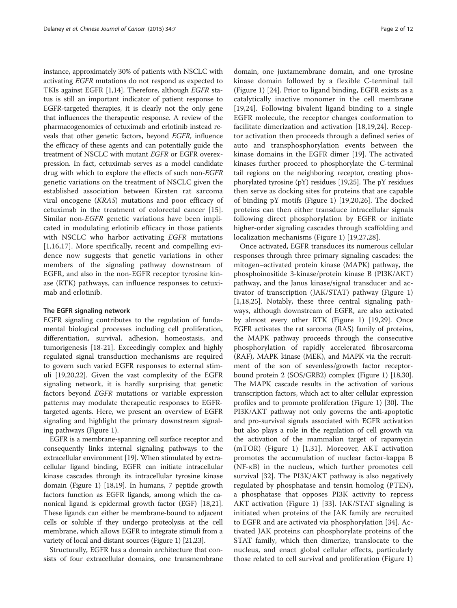instance, approximately 30% of patients with NSCLC with activating EGFR mutations do not respond as expected to TKIs against EGFR [\[1,14](#page-9-0)]. Therefore, although EGFR status is still an important indicator of patient response to EGFR-targeted therapies, it is clearly not the only gene that influences the therapeutic response. A review of the pharmacogenomics of cetuximab and erlotinib instead reveals that other genetic factors, beyond EGFR, influence the efficacy of these agents and can potentially guide the treatment of NSCLC with mutant EGFR or EGFR overexpression. In fact, cetuximab serves as a model candidate drug with which to explore the effects of such non-EGFR genetic variations on the treatment of NSCLC given the established association between Kirsten rat sarcoma viral oncogene (KRAS) mutations and poor efficacy of cetuximab in the treatment of colorectal cancer [[15](#page-9-0)]. Similar non-EGFR genetic variations have been implicated in modulating erlotinib efficacy in those patients with NSCLC who harbor activating EGFR mutations [[1,16,17\]](#page-9-0). More specifically, recent and compelling evidence now suggests that genetic variations in other members of the signaling pathway downstream of EGFR, and also in the non-EGFR receptor tyrosine kinase (RTK) pathways, can influence responses to cetuximab and erlotinib.

#### The EGFR signaling network

EGFR signaling contributes to the regulation of fundamental biological processes including cell proliferation, differentiation, survival, adhesion, homeostasis, and tumorigenesis [\[18](#page-9-0)-[21\]](#page-9-0). Exceedingly complex and highly regulated signal transduction mechanisms are required to govern such varied EGFR responses to external stimuli [\[19,20,22\]](#page-9-0). Given the vast complexity of the EGFR signaling network, it is hardly surprising that genetic factors beyond EGFR mutations or variable expression patterns may modulate therapeutic responses to EGFRtargeted agents. Here, we present an overview of EGFR signaling and highlight the primary downstream signaling pathways (Figure [1\)](#page-2-0).

EGFR is a membrane-spanning cell surface receptor and consequently links internal signaling pathways to the extracellular environment [\[19](#page-9-0)]. When stimulated by extracellular ligand binding, EGFR can initiate intracellular kinase cascades through its intracellular tyrosine kinase domain (Figure [1](#page-2-0)) [\[18,19\]](#page-9-0). In humans, 7 peptide growth factors function as EGFR ligands, among which the canonical ligand is epidermal growth factor (EGF) [\[18,21](#page-9-0)]. These ligands can either be membrane-bound to adjacent cells or soluble if they undergo proteolysis at the cell membrane, which allows EGFR to integrate stimuli from a variety of local and distant sources (Figure [1\)](#page-2-0) [\[21,23\]](#page-9-0).

Structurally, EGFR has a domain architecture that consists of four extracellular domains, one transmembrane

domain, one juxtamembrane domain, and one tyrosine kinase domain followed by a flexible C-terminal tail (Figure [1](#page-2-0)) [\[24](#page-9-0)]. Prior to ligand binding, EGFR exists as a catalytically inactive monomer in the cell membrane [[19,24](#page-9-0)]. Following bivalent ligand binding to a single EGFR molecule, the receptor changes conformation to facilitate dimerization and activation [\[18](#page-9-0),[19,24\]](#page-9-0). Receptor activation then proceeds through a defined series of auto and transphosphorylation events between the kinase domains in the EGFR dimer [\[19](#page-9-0)]. The activated kinases further proceed to phosphorylate the C-terminal tail regions on the neighboring receptor, creating phosphorylated tyrosine (pY) residues [[19,25](#page-9-0)]. The pY residues then serve as docking sites for proteins that are capable of binding pY motifs (Figure [1](#page-2-0)) [\[19,20](#page-9-0),[26\]](#page-9-0). The docked proteins can then either transduce intracellular signals following direct phosphorylation by EGFR or initiate higher-order signaling cascades through scaffolding and localization mechanisms (Figure [1\)](#page-2-0) [[19,27,28](#page-9-0)].

Once activated, EGFR transduces its numerous cellular responses through three primary signaling cascades: the mitogen–activated protein kinase (MAPK) pathway, the phosphoinositide 3-kinase/protein kinase B (PI3K/AKT) pathway, and the Janus kinase/signal transducer and activator of transcription (JAK/STAT) pathway (Figure [1](#page-2-0)) [[1,18,25\]](#page-9-0). Notably, these three central signaling pathways, although downstream of EGFR, are also activated by almost every other RTK (Figure [1\)](#page-2-0) [[19,29\]](#page-9-0). Once EGFR activates the rat sarcoma (RAS) family of proteins, the MAPK pathway proceeds through the consecutive phosphorylation of rapidly accelerated fibrosarcoma (RAF), MAPK kinase (MEK), and MAPK via the recruitment of the son of sevenless/growth factor receptorbound protein 2 (SOS/GRB2) complex (Figure [1](#page-2-0)) [\[18,30](#page-9-0)]. The MAPK cascade results in the activation of various transcription factors, which act to alter cellular expression profiles and to promote proliferation (Figure [1\)](#page-2-0) [\[30\]](#page-9-0). The PI3K/AKT pathway not only governs the anti-apoptotic and pro-survival signals associated with EGFR activation but also plays a role in the regulation of cell growth via the activation of the mammalian target of rapamycin (mTOR) (Figure [1](#page-2-0)) [\[1](#page-9-0),[31\]](#page-9-0). Moreover, AKT activation promotes the accumulation of nuclear factor-kappa B (NF-κB) in the nucleus, which further promotes cell survival [[32\]](#page-9-0). The PI3K/AKT pathway is also negatively regulated by phosphatase and tensin homolog (PTEN), a phosphatase that opposes PI3K activity to repress AKT activation (Figure [1](#page-2-0)) [[33\]](#page-9-0). JAK/STAT signaling is initiated when proteins of the JAK family are recruited to EGFR and are activated via phosphorylation [\[34](#page-9-0)]. Activated JAK proteins can phosphorylate proteins of the STAT family, which then dimerize, translocate to the nucleus, and enact global cellular effects, particularly those related to cell survival and proliferation (Figure [1](#page-2-0))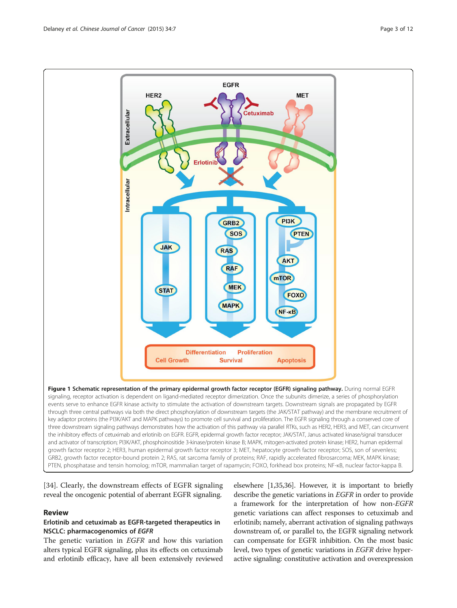<span id="page-2-0"></span>

signaling, receptor activation is dependent on ligand-mediated receptor dimerization. Once the subunits dimerize, a series of phosphorylation events serve to enhance EGFR kinase activity to stimulate the activation of downstream targets. Downstream signals are propagated by EGFR through three central pathways via both the direct phosphorylation of downstream targets (the JAK/STAT pathway) and the membrane recruitment of key adaptor proteins (the PI3K/AKT and MAPK pathways) to promote cell survival and proliferation. The EGFR signaling through a conserved core of three downstream signaling pathways demonstrates how the activation of this pathway via parallel RTKs, such as HER2, HER3, and MET, can circumvent the inhibitory effects of cetuximab and erlotinib on EGFR. EGFR, epidermal growth factor receptor; JAK/STAT, Janus activated kinase/signal transducer and activator of transcription; PI3K/AKT, phosphoinositide 3-kinase/protein kinase B; MAPK, mitogen-activated protein kinase; HER2, human epidermal growth factor receptor 2; HER3, human epidermal growth factor receptor 3; MET, hepatocyte growth factor receptor; SOS, son of sevenless; GRB2, growth factor receptor-bound protein 2; RAS, rat sarcoma family of proteins; RAF, rapidly accelerated fibrosarcoma; MEK, MAPK kinase; PTEN, phosphatase and tensin homolog; mTOR, mammalian target of rapamycin; FOXO, forkhead box proteins; NF-κB, nuclear factor-kappa B.

[[34](#page-9-0)]. Clearly, the downstream effects of EGFR signaling reveal the oncogenic potential of aberrant EGFR signaling.

### Review

# Erlotinib and cetuximab as EGFR-targeted therapeutics in NSCLC: pharmacogenomics of EGFR

The genetic variation in EGFR and how this variation alters typical EGFR signaling, plus its effects on cetuximab and erlotinib efficacy, have all been extensively reviewed

elsewhere [[1,35,36](#page-9-0)]. However, it is important to briefly describe the genetic variations in EGFR in order to provide a framework for the interpretation of how non-EGFR genetic variations can affect responses to cetuximab and erlotinib; namely, aberrant activation of signaling pathways downstream of, or parallel to, the EGFR signaling network can compensate for EGFR inhibition. On the most basic level, two types of genetic variations in EGFR drive hyperactive signaling: constitutive activation and overexpression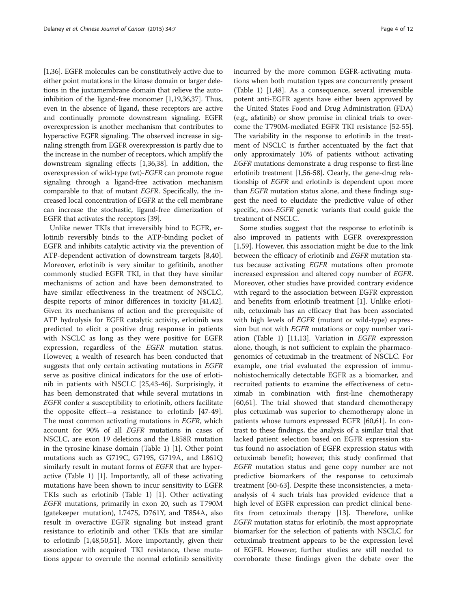[[1,36](#page-9-0)]. EGFR molecules can be constitutively active due to either point mutations in the kinase domain or larger deletions in the juxtamembrane domain that relieve the autoinhibition of the ligand-free monomer [\[1,19,36](#page-9-0)[,37\]](#page-10-0). Thus, even in the absence of ligand, these receptors are active and continually promote downstream signaling. EGFR overexpression is another mechanism that contributes to hyperactive EGFR signaling. The observed increase in signaling strength from EGFR overexpression is partly due to the increase in the number of receptors, which amplify the downstream signaling effects [\[1,36,](#page-9-0)[38\]](#page-10-0). In addition, the overexpression of wild-type (wt)-EGFR can promote rogue signaling through a ligand-free activation mechanism comparable to that of mutant EGFR. Specifically, the increased local concentration of EGFR at the cell membrane can increase the stochastic, ligand-free dimerization of EGFR that activates the receptors [[39](#page-10-0)].

Unlike newer TKIs that irreversibly bind to EGFR, erlotinib reversibly binds to the ATP-binding pocket of EGFR and inhibits catalytic activity via the prevention of ATP-dependent activation of downstream targets [\[8](#page-9-0)[,40](#page-10-0)]. Moreover, erlotinib is very similar to gefitinib, another commonly studied EGFR TKI, in that they have similar mechanisms of action and have been demonstrated to have similar effectiveness in the treatment of NSCLC, despite reports of minor differences in toxicity [\[41,42](#page-10-0)]. Given its mechanisms of action and the prerequisite of ATP hydrolysis for EGFR catalytic activity, erlotinib was predicted to elicit a positive drug response in patients with NSCLC as long as they were positive for EGFR expression, regardless of the EGFR mutation status. However, a wealth of research has been conducted that suggests that only certain activating mutations in EGFR serve as positive clinical indicators for the use of erlotinib in patients with NSCLC [\[25](#page-9-0)[,43](#page-10-0)-[46\]](#page-10-0). Surprisingly, it has been demonstrated that while several mutations in EGFR confer a susceptibility to erlotinib, others facilitate the opposite effect—a resistance to erlotinib [\[47-49](#page-10-0)]. The most common activating mutations in EGFR, which account for 90% of all EGFR mutations in cases of NSCLC, are exon 19 deletions and the L858R mutation in the tyrosine kinase domain (Table [1\)](#page-4-0) [[1](#page-9-0)]. Other point mutations such as G719C, G719S, G719A, and L861Q similarly result in mutant forms of EGFR that are hyperactive (Table [1](#page-4-0)) [[1\]](#page-9-0). Importantly, all of these activating mutations have been shown to incur sensitivity to EGFR TKIs such as erlotinib (Table [1\)](#page-4-0) [\[1](#page-9-0)]. Other activating EGFR mutations, primarily in exon 20, such as T790M (gatekeeper mutation), L747S, D761Y, and T854A, also result in overactive EGFR signaling but instead grant resistance to erlotinib and other TKIs that are similar to erlotinib [\[1](#page-9-0)[,48,50,51](#page-10-0)]. More importantly, given their association with acquired TKI resistance, these mutations appear to overrule the normal erlotinib sensitivity incurred by the more common EGFR-activating mutations when both mutation types are concurrently present (Table [1\)](#page-4-0) [[1](#page-9-0),[48](#page-10-0)]. As a consequence, several irreversible potent anti-EGFR agents have either been approved by the United States Food and Drug Administration (FDA) (e.g., afatinib) or show promise in clinical trials to overcome the T790M-mediated EGFR TKI resistance [[52](#page-10-0)-[55](#page-10-0)]. The variability in the response to erlotinib in the treatment of NSCLC is further accentuated by the fact that only approximately 10% of patients without activating EGFR mutations demonstrate a drug response to first-line erlotinib treatment [[1,](#page-9-0)[56](#page-10-0)-[58](#page-10-0)]. Clearly, the gene-drug relationship of EGFR and erlotinib is dependent upon more than EGFR mutation status alone, and these findings suggest the need to elucidate the predictive value of other specific, non-EGFR genetic variants that could guide the treatment of NSCLC.

Some studies suggest that the response to erlotinib is also improved in patients with EGFR overexpression [[1,](#page-9-0)[59\]](#page-10-0). However, this association might be due to the link between the efficacy of erlotinib and EGFR mutation status because activating EGFR mutations often promote increased expression and altered copy number of EGFR. Moreover, other studies have provided contrary evidence with regard to the association between EGFR expression and benefits from erlotinib treatment [[1](#page-9-0)]. Unlike erlotinib, cetuximab has an efficacy that has been associated with high levels of EGFR (mutant or wild-type) expression but not with EGFR mutations or copy number variation (Table [1](#page-4-0)) [[11,13\]](#page-9-0). Variation in EGFR expression alone, though, is not sufficient to explain the pharmacogenomics of cetuximab in the treatment of NSCLC. For example, one trial evaluated the expression of immunohistochemically detectable EGFR as a biomarker, and recruited patients to examine the effectiveness of cetuximab in combination with first-line chemotherapy [[60,61\]](#page-10-0). The trial showed that standard chemotherapy plus cetuximab was superior to chemotherapy alone in patients whose tumors expressed EGFR [[60,61\]](#page-10-0). In contrast to these findings, the analysis of a similar trial that lacked patient selection based on EGFR expression status found no association of EGFR expression status with cetuximab benefit; however, this study confirmed that EGFR mutation status and gene copy number are not predictive biomarkers of the response to cetuximab treatment [\[60-63](#page-10-0)]. Despite these inconsistencies, a metaanalysis of 4 such trials has provided evidence that a high level of EGFR expression can predict clinical benefits from cetuximab therapy [[13](#page-9-0)]. Therefore, unlike EGFR mutation status for erlotinib, the most appropriate biomarker for the selection of patients with NSCLC for cetuximab treatment appears to be the expression level of EGFR. However, further studies are still needed to corroborate these findings given the debate over the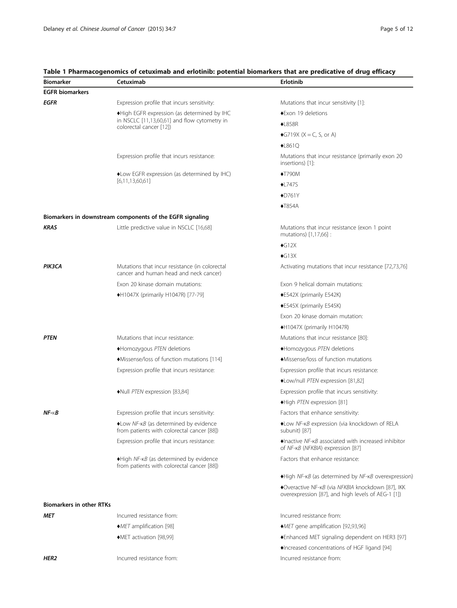| <b>Biomarker</b>                | Cetuximab                                                                                                             | Erlotinib                                                                                                    |
|---------------------------------|-----------------------------------------------------------------------------------------------------------------------|--------------------------------------------------------------------------------------------------------------|
| <b>EGFR biomarkers</b>          |                                                                                                                       |                                                                                                              |
| <b>EGFR</b>                     | Expression profile that incurs sensitivity:                                                                           | Mutations that incur sensitivity [1]:                                                                        |
|                                 | High EGFR expression (as determined by IHC<br>in NSCLC [11,13,60,61] and flow cytometry in<br>colorectal cancer [12]) | ◆ Fxon 19 deletions                                                                                          |
|                                 |                                                                                                                       | $\triangle$ L858R                                                                                            |
|                                 |                                                                                                                       | $\triangleleft$ G719X (X = C, S, or A)                                                                       |
|                                 |                                                                                                                       | $\triangle$ L861Q                                                                                            |
|                                 | Expression profile that incurs resistance:                                                                            | Mutations that incur resistance (primarily exon 20<br>insertions) [1]:                                       |
|                                 | *Low EGFR expression (as determined by IHC)<br>[6, 11, 13, 60, 61]                                                    | $+T790M$                                                                                                     |
|                                 |                                                                                                                       | L747S                                                                                                        |
|                                 |                                                                                                                       | $\blacklozenge$ D761Y                                                                                        |
|                                 |                                                                                                                       | $\blacklozenge$ T854A                                                                                        |
|                                 | Biomarkers in downstream components of the EGFR signaling                                                             |                                                                                                              |
| <b>KRAS</b>                     | Little predictive value in NSCLC [16,68]                                                                              | Mutations that incur resistance (exon 1 point<br>mutations) [1,17,66] :                                      |
|                                 |                                                                                                                       | $\triangleleft$ G12X                                                                                         |
|                                 |                                                                                                                       | $\triangleleft$ G13X                                                                                         |
| PIK3CA                          | Mutations that incur resistance (in colorectal<br>cancer and human head and neck cancer)                              | Activating mutations that incur resistance [72,73,76]                                                        |
|                                 | Exon 20 kinase domain mutations:                                                                                      | Exon 9 helical domain mutations:                                                                             |
|                                 | ◆H1047X (primarily H1047R) [77-79]                                                                                    | ◆E542X (primarily E542K)                                                                                     |
|                                 |                                                                                                                       | ◆E545X (primarily E545K)                                                                                     |
|                                 |                                                                                                                       | Exon 20 kinase domain mutation:                                                                              |
|                                 |                                                                                                                       | ◆H1047X (primarily H1047R)                                                                                   |
| <b>PTEN</b>                     | Mutations that incur resistance:                                                                                      | Mutations that incur resistance [80]:                                                                        |
|                                 | ◆Homozygous PTEN deletions                                                                                            | ◆Homozygous PTEN deletions                                                                                   |
|                                 | ◆Missense/loss of function mutations [114]                                                                            | ◆Missense/loss of function mutations                                                                         |
|                                 | Expression profile that incurs resistance:                                                                            | Expression profile that incurs resistance:                                                                   |
|                                 |                                                                                                                       | ◆Low/null PTEN expression [81,82]                                                                            |
|                                 | Null PTEN expression [83,84]                                                                                          | Expression profile that incurs sensitivity:                                                                  |
|                                 |                                                                                                                       | ◆High PTEN expression [81]                                                                                   |
| $NF - \times B$                 | Expression profile that incurs sensitivity:                                                                           | Factors that enhance sensitivity:                                                                            |
|                                 | *Low NF-KB (as determined by evidence<br>from patients with colorectal cancer [88])                                   | ◆Low NF-KB expression (via knockdown of RELA<br>subunit) [87]                                                |
|                                 | Expression profile that incurs resistance:                                                                            | $\triangle$ Inactive NF- $\kappa$ B associated with increased inhibitor<br>of NF-KB (NFKBIA) expression [87] |
|                                 | High NF-KB (as determined by evidence<br>from patients with colorectal cancer [88])                                   | Factors that enhance resistance:                                                                             |
|                                 |                                                                                                                       | ◆High NF-KB (as determined by NF-KB overexpression)                                                          |
|                                 |                                                                                                                       | ◆Overactive NF-KB (via NFKBIA knockdown [87], IKK<br>overexpression [87], and high levels of AEG-1 [1])      |
| <b>Biomarkers in other RTKs</b> |                                                                                                                       |                                                                                                              |
| <b>MET</b>                      | Incurred resistance from:                                                                                             | Incurred resistance from:                                                                                    |
|                                 | ◆MET amplification [98]                                                                                               | ◆MET gene amplification [92,93,96]                                                                           |
|                                 | ◆MET activation [98,99]                                                                                               | ◆Enhanced MET signaling dependent on HER3 [97]                                                               |
|                                 |                                                                                                                       | ◆Increased concentrations of HGF ligand [94]                                                                 |
| HER <sub>2</sub>                | Incurred resistance from:                                                                                             | Incurred resistance from:                                                                                    |

# <span id="page-4-0"></span>Table 1 Pharmacogenomics of cetuximab and erlotinib: potential biomarkers that are predicative of drug efficacy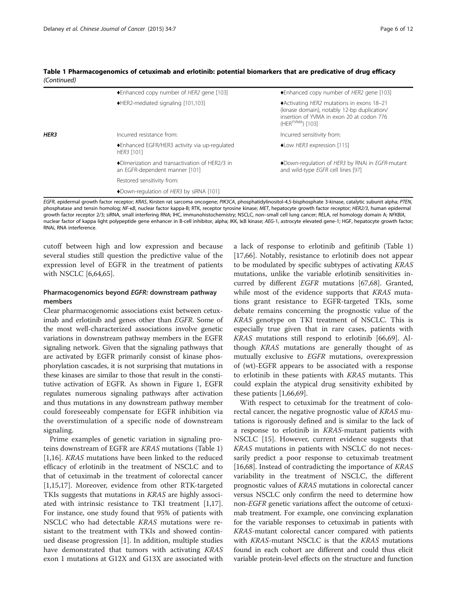|             | ◆Enhanced copy number of HER2 gene [103]                                         | ◆Enhanced copy number of HER2 gene [103]                                                                                                                               |
|-------------|----------------------------------------------------------------------------------|------------------------------------------------------------------------------------------------------------------------------------------------------------------------|
|             | ◆HER2-mediated signaling [101,103]                                               | ◆ Activating HER2 mutations in exons 18-21<br>(kinase domain), notably 12-bp duplication/<br>insertion of YVMA in exon 20 at codon 776<br>(HER <sup>YVMA</sup> ) [103] |
| <b>HER3</b> | Incurred resistance from:                                                        | Incurred sensitivity from:                                                                                                                                             |
|             | ◆Enhanced EGFR/HER3 activity via up-regulated<br><b>HER3 [101]</b>               | $\triangle$ Low HER3 expression [115]                                                                                                                                  |
|             | ◆Dimerization and transactivation of HFR2/3 in<br>an EGFR-dependent manner [101] | ◆Down-regulation of HER3 by RNAi in EGFR-mutant<br>and wild-type EGFR cell lines [97]                                                                                  |
|             | Restored sensitivity from:                                                       |                                                                                                                                                                        |
|             | ◆Down-regulation of HER3 by siRNA [101]                                          |                                                                                                                                                                        |

Table 1 Pharmacogenomics of cetuximab and erlotinib: potential biomarkers that are predicative of drug efficacy (Continued)

EGFR, epidermal growth factor receptor; KRAS, Kirsten rat sarcoma oncogene; PIK3CA, phosphatidylinositol-4,5-bisphosphate 3-kinase, catalytic subunit alpha; PTEN, phosphatase and tensin homolog; NF-κB, nuclear factor kappa-B; RTK, receptor tyrosine kinase; ΜΕΤ, hepatocyte growth factor receptor; ΗΕR2/3, human epidermal growth factor receptor 2/3; siRNA, small interfering RNA; IHC, immunohistochemistry; NSCLC, non-small cell lung cancer; RELA, rel homology domain A; NFKBIA, nuclear factor of kappa light polypeptide gene enhancer in B-cell inhibitor, alpha; IKK, IκB kinase; AEG-1, astrocyte elevated gene-1; HGF, hepatocyte growth factor; RNAi, RNA interference.

cutoff between high and low expression and because several studies still question the predictive value of the expression level of EGFR in the treatment of patients with NSCLC [\[6](#page-9-0)[,64,65\]](#page-10-0).

# Pharmacogenomics beyond EGFR: downstream pathway members

Clear pharmacogenomic associations exist between cetuximab and erlotinib and genes other than EGFR. Some of the most well-characterized associations involve genetic variations in downstream pathway members in the EGFR signaling network. Given that the signaling pathways that are activated by EGFR primarily consist of kinase phosphorylation cascades, it is not surprising that mutations in these kinases are similar to those that result in the constitutive activation of EGFR. As shown in Figure [1,](#page-2-0) EGFR regulates numerous signaling pathways after activation and thus mutations in any downstream pathway member could foreseeably compensate for EGFR inhibition via the overstimulation of a specific node of downstream signaling.

Prime examples of genetic variation in signaling proteins downstream of EGFR are KRAS mutations (Table [1](#page-4-0)) [[1,16\]](#page-9-0). KRAS mutations have been linked to the reduced efficacy of erlotinib in the treatment of NSCLC and to that of cetuximab in the treatment of colorectal cancer [[1,15,17\]](#page-9-0). Moreover, evidence from other RTK-targeted TKIs suggests that mutations in KRAS are highly associated with intrinsic resistance to TKI treatment [\[1,17](#page-9-0)]. For instance, one study found that 95% of patients with NSCLC who had detectable KRAS mutations were resistant to the treatment with TKIs and showed continued disease progression [[1\]](#page-9-0). In addition, multiple studies have demonstrated that tumors with activating KRAS exon 1 mutations at G12X and G13X are associated with

a lack of response to erlotinib and gefitinib (Table [1](#page-4-0)) [[17,](#page-9-0)[66\]](#page-10-0). Notably, resistance to erlotinib does not appear to be modulated by specific subtypes of activating KRAS mutations, unlike the variable erlotinib sensitivities incurred by different EGFR mutations [\[67,68](#page-10-0)]. Granted, while most of the evidence supports that KRAS mutations grant resistance to EGFR-targeted TKIs, some debate remains concerning the prognostic value of the KRAS genotype on TKI treatment of NSCLC. This is especially true given that in rare cases, patients with KRAS mutations still respond to erlotinib [\[66,69](#page-10-0)]. Although KRAS mutations are generally thought of as mutually exclusive to EGFR mutations, overexpression of (wt)-EGFR appears to be associated with a response to erlotinib in these patients with KRAS mutants. This could explain the atypical drug sensitivity exhibited by these patients [\[1](#page-9-0)[,66,69\]](#page-10-0).

With respect to cetuximab for the treatment of colorectal cancer, the negative prognostic value of KRAS mutations is rigorously defined and is similar to the lack of a response to erlotinib in KRAS-mutant patients with NSCLC [\[15](#page-9-0)]. However, current evidence suggests that KRAS mutations in patients with NSCLC do not necessarily predict a poor response to cetuximab treatment [[16,](#page-9-0)[68\]](#page-10-0). Instead of contradicting the importance of KRAS variability in the treatment of NSCLC, the different prognostic values of KRAS mutations in colorectal cancer versus NSCLC only confirm the need to determine how non-EGFR genetic variations affect the outcome of cetuximab treatment. For example, one convincing explanation for the variable responses to cetuximab in patients with KRAS-mutant colorectal cancer compared with patients with KRAS-mutant NSCLC is that the KRAS mutations found in each cohort are different and could thus elicit variable protein-level effects on the structure and function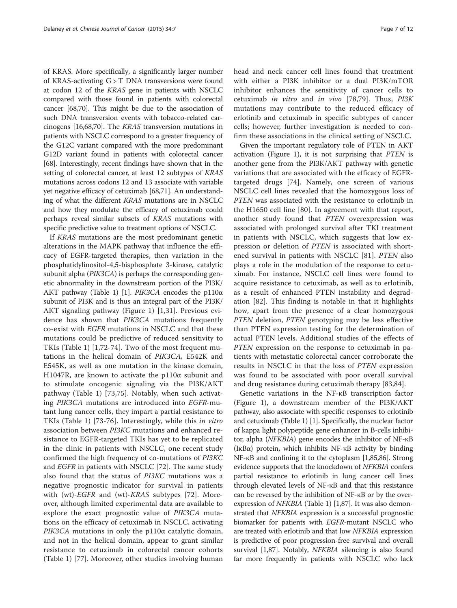of KRAS. More specifically, a significantly larger number of KRAS-activating G > T DNA transversions were found at codon 12 of the KRAS gene in patients with NSCLC compared with those found in patients with colorectal cancer [\[68,70\]](#page-10-0). This might be due to the association of such DNA transversion events with tobacco-related carcinogens [\[16](#page-9-0)[,68,70](#page-10-0)]. The KRAS transversion mutations in patients with NSCLC correspond to a greater frequency of the G12C variant compared with the more predominant G12D variant found in patients with colorectal cancer [[68](#page-10-0)]. Interestingly, recent findings have shown that in the setting of colorectal cancer, at least 12 subtypes of KRAS mutations across codons 12 and 13 associate with variable yet negative efficacy of cetuximab [[68,71\]](#page-10-0). An understanding of what the different KRAS mutations are in NSCLC and how they modulate the efficacy of cetuximab could perhaps reveal similar subsets of KRAS mutations with specific predictive value to treatment options of NSCLC.

If KRAS mutations are the most predominant genetic alterations in the MAPK pathway that influence the efficacy of EGFR-targeted therapies, then variation in the phosphatidylinositol-4,5-bisphosphate 3-kinase, catalytic subunit alpha (PIK3CA) is perhaps the corresponding genetic abnormality in the downstream portion of the PI3K/ AKT pathway (Table [1](#page-4-0)) [[1](#page-9-0)]. PIK3CA encodes the p110α subunit of PI3K and is thus an integral part of the PI3K/ AKT signaling pathway (Figure [1](#page-2-0)) [[1,31\]](#page-9-0). Previous evidence has shown that PIK3CA mutations frequently co-exist with EGFR mutations in NSCLC and that these mutations could be predictive of reduced sensitivity to TKIs (Table [1\)](#page-4-0) [\[1](#page-9-0),[72-74](#page-10-0)]. Two of the most frequent mutations in the helical domain of PIK3CA, E542K and E545K, as well as one mutation in the kinase domain, H1047R, are known to activate the p110α subunit and to stimulate oncogenic signaling via the PI3K/AKT pathway (Table [1\)](#page-4-0) [[73,75](#page-10-0)]. Notably, when such activating PIK3CA mutations are introduced into EGFR-mutant lung cancer cells, they impart a partial resistance to TKIs (Table [1\)](#page-4-0) [[73-76\]](#page-10-0). Interestingly, while this in vitro association between PI3KC mutations and enhanced resistance to EGFR-targeted TKIs has yet to be replicated in the clinic in patients with NSCLC, one recent study confirmed the high frequency of co-mutations of PI3KC and EGFR in patients with NSCLC [[72\]](#page-10-0). The same study also found that the status of PI3KC mutations was a negative prognostic indicator for survival in patients with (wt)-EGFR and (wt)-KRAS subtypes [[72\]](#page-10-0). Moreover, although limited experimental data are available to explore the exact prognostic value of PIK3CA mutations on the efficacy of cetuximab in NSCLC, activating PIK3CA mutations in only the p110α catalytic domain, and not in the helical domain, appear to grant similar resistance to cetuximab in colorectal cancer cohorts (Table [1\)](#page-4-0) [[77\]](#page-10-0). Moreover, other studies involving human head and neck cancer cell lines found that treatment with either a PI3K inhibitor or a dual PI3K/mTOR inhibitor enhances the sensitivity of cancer cells to cetuximab in vitro and in vivo [[78,79](#page-10-0)]. Thus, PI3K mutations may contribute to the reduced efficacy of erlotinib and cetuximab in specific subtypes of cancer cells; however, further investigation is needed to confirm these associations in the clinical setting of NSCLC.

Given the important regulatory role of PTEN in AKT activation (Figure [1](#page-2-0)), it is not surprising that PTEN is another gene from the PI3K/AKT pathway with genetic variations that are associated with the efficacy of EGFRtargeted drugs [[74\]](#page-10-0). Namely, one screen of various NSCLC cell lines revealed that the homozygous loss of PTEN was associated with the resistance to erlotinib in the H1650 cell line [\[80](#page-10-0)]. In agreement with that report, another study found that PTEN overexpression was associated with prolonged survival after TKI treatment in patients with NSCLC, which suggests that low expression or deletion of PTEN is associated with shortened survival in patients with NSCLC [\[81](#page-11-0)]. PTEN also plays a role in the modulation of the response to cetuximab. For instance, NSCLC cell lines were found to acquire resistance to cetuximab, as well as to erlotinib, as a result of enhanced PTEN instability and degradation [\[82](#page-11-0)]. This finding is notable in that it highlights how, apart from the presence of a clear homozygous PTEN deletion, PTEN genotyping may be less effective than PTEN expression testing for the determination of actual PTEN levels. Additional studies of the effects of PTEN expression on the response to cetuximab in patients with metastatic colorectal cancer corroborate the results in NSCLC in that the loss of PTEN expression was found to be associated with poor overall survival and drug resistance during cetuximab therapy [[83,84\]](#page-11-0).

Genetic variations in the NF-κB transcription factor (Figure [1](#page-2-0)), a downstream member of the PI3K/AKT pathway, also associate with specific responses to erlotinib and cetuximab (Table [1](#page-4-0)) [[1\]](#page-9-0). Specifically, the nuclear factor of kappa light polypeptide gene enhancer in B-cells inhibitor, alpha (NFKBIA) gene encodes the inhibitor of NF-κB (I $\kappa$ B $\alpha$ ) protein, which inhibits NF- $\kappa$ B activity by binding NF-κB and confining it to the cytoplasm [[1](#page-9-0)[,85,86\]](#page-11-0). Strong evidence supports that the knockdown of NFKBIA confers partial resistance to erlotinib in lung cancer cell lines through elevated levels of NF-κB and that this resistance can be reversed by the inhibition of NF-κB or by the overexpression of *NFKBIA* (Table [1](#page-4-0)) [\[1,](#page-9-0)[87\]](#page-11-0). It was also demonstrated that NFKBIA expression is a successful prognostic biomarker for patients with EGFR-mutant NSCLC who are treated with erlotinib and that low NFKBIA expression is predictive of poor progression-free survival and overall survival [\[1,](#page-9-0)[87](#page-11-0)]. Notably, *NFKBIA* silencing is also found far more frequently in patients with NSCLC who lack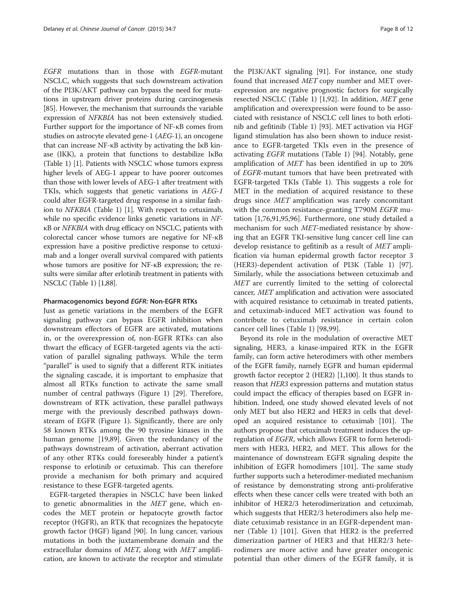EGFR mutations than in those with EGFR-mutant NSCLC, which suggests that such downstream activation of the PI3K/AKT pathway can bypass the need for mutations in upstream driver proteins during carcinogenesis [[85](#page-11-0)]. However, the mechanism that surrounds the variable expression of NFKBIA has not been extensively studied. Further support for the importance of NF-κB comes from studies on astrocyte elevated gene-1 (AEG-1), an oncogene that can increase NF-κB activity by activating the IκB kinase (IKK), a protein that functions to destabilize IκBα (Table [1](#page-4-0)) [[1](#page-9-0)]. Patients with NSCLC whose tumors express higher levels of AEG-1 appear to have poorer outcomes than those with lower levels of AEG-1 after treatment with TKIs, which suggests that genetic variations in AEG-1 could alter EGFR-targeted drug response in a similar fashion to NFKBIA (Table [1\)](#page-4-0) [\[1](#page-9-0)]. With respect to cetuximab, while no specific evidence links genetic variations in NFκB or NFKBIA with drug efficacy on NSCLC, patients with colorectal cancer whose tumors are negative for NF-κB expression have a positive predictive response to cetuximab and a longer overall survival compared with patients whose tumors are positive for NF-κB expression; the results were similar after erlotinib treatment in patients with NSCLC (Table [1](#page-4-0)) [\[1](#page-9-0)[,88\]](#page-11-0).

#### Pharmacogenomics beyond EGFR: Non-EGFR RTKs

Just as genetic variations in the members of the EGFR signaling pathway can bypass EGFR inhibition when downstream effectors of EGFR are activated, mutations in, or the overexpression of, non-EGFR RTKs can also thwart the efficacy of EGFR-targeted agents via the activation of parallel signaling pathways. While the term "parallel" is used to signify that a different RTK initiates the signaling cascade, it is important to emphasize that almost all RTKs function to activate the same small number of central pathways (Figure [1\)](#page-2-0) [[29](#page-9-0)]. Therefore, downstream of RTK activation, these parallel pathways merge with the previously described pathways downstream of EGFR (Figure [1](#page-2-0)). Significantly, there are only 58 known RTKs among the 90 tyrosine kinases in the human genome [\[19](#page-9-0)[,89](#page-11-0)]. Given the redundancy of the pathways downstream of activation, aberrant activation of any other RTKs could foreseeably hinder a patient's response to erlotinib or cetuximab. This can therefore provide a mechanism for both primary and acquired resistance to these EGFR-targeted agents.

EGFR-targeted therapies in NSCLC have been linked to genetic abnormalities in the  $MET$  gene, which encodes the MET protein or hepatocyte growth factor receptor (HGFR), an RTK that recognizes the hepatocyte growth factor (HGF) ligand [\[90](#page-11-0)]. In lung cancer, various mutations in both the juxtamembrane domain and the extracellular domains of *MET*, along with *MET* amplification, are known to activate the receptor and stimulate

the PI3K/AKT signaling [[91\]](#page-11-0). For instance, one study found that increased MET copy number and MET overexpression are negative prognostic factors for surgically resected NSCLC (Table [1\)](#page-4-0) [[1,](#page-9-0)[92\]](#page-11-0). In addition, MET gene amplification and overexpression were found to be associated with resistance of NSCLC cell lines to both erlotinib and gefitinib (Table [1](#page-4-0)) [\[93\]](#page-11-0). MET activation via HGF ligand stimulation has also been shown to induce resistance to EGFR-targeted TKIs even in the presence of activating EGFR mutations (Table [1](#page-4-0)) [\[94\]](#page-11-0). Notably, gene amplification of MET has been identified in up to 20% of EGFR-mutant tumors that have been pretreated with EGFR-targeted TKIs (Table [1](#page-4-0)). This suggests a role for MET in the mediation of acquired resistance to these drugs since MET amplification was rarely concomitant with the common resistance-granting T790M EGFR mutation [\[1](#page-9-0)[,76](#page-10-0)[,91,95,96\]](#page-11-0). Furthermore, one study detailed a mechanism for such MET-mediated resistance by showing that an EGFR TKI-sensitive lung cancer cell line can develop resistance to gefitinib as a result of MET amplification via human epidermal growth factor receptor 3 (HER3)-dependent activation of PI3K (Table [1\)](#page-4-0) [\[97](#page-11-0)]. Similarly, while the associations between cetuximab and MET are currently limited to the setting of colorectal cancer, MET amplification and activation were associated with acquired resistance to cetuximab in treated patients, and cetuximab-induced MET activation was found to contribute to cetuximab resistance in certain colon cancer cell lines (Table [1](#page-4-0)) [\[98](#page-11-0),[99\]](#page-11-0).

Beyond its role in the modulation of overactive MET signaling, HER3, a kinase-impaired RTK in the EGFR family, can form active heterodimers with other members of the EGFR family, namely EGFR and human epidermal growth factor receptor 2 (HER2) [[1,](#page-9-0)[100](#page-11-0)]. It thus stands to reason that HER3 expression patterns and mutation status could impact the efficacy of therapies based on EGFR inhibition. Indeed, one study showed elevated levels of not only MET but also HER2 and HER3 in cells that developed an acquired resistance to cetuximab [\[101](#page-11-0)]. The authors propose that cetuximab treatment induces the upregulation of EGFR, which allows EGFR to form heterodimers with HER3, HER2, and MET. This allows for the maintenance of downstream EGFR signaling despite the inhibition of EGFR homodimers [\[101\]](#page-11-0). The same study further supports such a heterodimer-mediated mechanism of resistance by demonstrating strong anti-proliferative effects when these cancer cells were treated with both an inhibitor of HER2/3 heterodimerization and cetuximab, which suggests that HER2/3 heterodimers also help mediate cetuximab resistance in an EGFR-dependent manner (Table [1](#page-4-0)) [[101\]](#page-11-0). Given that HER2 is the preferred dimerization partner of HER3 and that HER2/3 heterodimers are more active and have greater oncogenic potential than other dimers of the EGFR family, it is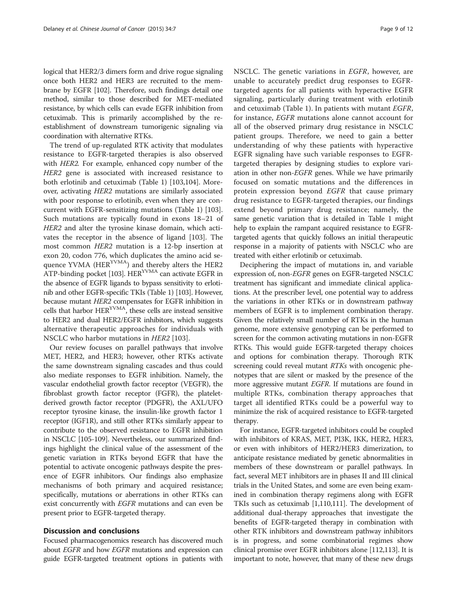logical that HER2/3 dimers form and drive rogue signaling once both HER2 and HER3 are recruited to the membrane by EGFR [[102\]](#page-11-0). Therefore, such findings detail one method, similar to those described for MET-mediated resistance, by which cells can evade EGFR inhibition from cetuximab. This is primarily accomplished by the reestablishment of downstream tumorigenic signaling via coordination with alternative RTKs.

The trend of up-regulated RTK activity that modulates resistance to EGFR-targeted therapies is also observed with *HER2*. For example, enhanced copy number of the HER2 gene is associated with increased resistance to both erlotinib and cetuximab (Table [1\)](#page-4-0) [\[103,104\]](#page-11-0). Moreover, activating HER2 mutations are similarly associated with poor response to erlotinib, even when they are concurrent with EGFR-sensitizing mutations (Table [1](#page-4-0)) [\[103](#page-11-0)]. Such mutations are typically found in exons 18–21 of HER2 and alter the tyrosine kinase domain, which activates the receptor in the absence of ligand [[103](#page-11-0)]. The most common HER2 mutation is a 12-bp insertion at exon 20, codon 776, which duplicates the amino acid sequence YVMA (HER<sup>YVMA</sup>) and thereby alters the HER2 ATP-binding pocket [\[103](#page-11-0)]. HER<sup>YVMA</sup> can activate EGFR in the absence of EGFR ligands to bypass sensitivity to erlotinib and other EGFR-specific TKIs (Table [1](#page-4-0)) [\[103](#page-11-0)]. However, because mutant HER2 compensates for EGFR inhibition in cells that harbor HERYVMA, these cells are instead sensitive to HER2 and dual HER2/EGFR inhibitors, which suggests alternative therapeutic approaches for individuals with NSCLC who harbor mutations in HER2 [\[103](#page-11-0)].

Our review focuses on parallel pathways that involve MET, HER2, and HER3; however, other RTKs activate the same downstream signaling cascades and thus could also mediate responses to EGFR inhibition. Namely, the vascular endothelial growth factor receptor (VEGFR), the fibroblast growth factor receptor (FGFR), the plateletderived growth factor receptor (PDGFR), the AXL/UFO receptor tyrosine kinase, the insulin-like growth factor 1 receptor (IGF1R), and still other RTKs similarly appear to contribute to the observed resistance to EGFR inhibition in NSCLC [\[105](#page-11-0)-[109](#page-11-0)]. Nevertheless, our summarized findings highlight the clinical value of the assessment of the genetic variation in RTKs beyond EGFR that have the potential to activate oncogenic pathways despite the presence of EGFR inhibitors. Our findings also emphasize mechanisms of both primary and acquired resistance; specifically, mutations or aberrations in other RTKs can exist concurrently with EGFR mutations and can even be present prior to EGFR-targeted therapy.

### Discussion and conclusions

Focused pharmacogenomics research has discovered much about EGFR and how EGFR mutations and expression can guide EGFR-targeted treatment options in patients with NSCLC. The genetic variations in EGFR, however, are unable to accurately predict drug responses to EGFRtargeted agents for all patients with hyperactive EGFR signaling, particularly during treatment with erlotinib and cetuximab (Table [1](#page-4-0)). In patients with mutant EGFR, for instance, EGFR mutations alone cannot account for all of the observed primary drug resistance in NSCLC patient groups. Therefore, we need to gain a better understanding of why these patients with hyperactive EGFR signaling have such variable responses to EGFRtargeted therapies by designing studies to explore variation in other non-EGFR genes. While we have primarily focused on somatic mutations and the differences in protein expression beyond EGFR that cause primary drug resistance to EGFR-targeted therapies, our findings extend beyond primary drug resistance; namely, the same genetic variation that is detailed in Table [1](#page-4-0) might help to explain the rampant acquired resistance to EGFRtargeted agents that quickly follows an initial therapeutic response in a majority of patients with NSCLC who are treated with either erlotinib or cetuximab.

Deciphering the impact of mutations in, and variable expression of, non-EGFR genes on EGFR-targeted NSCLC treatment has significant and immediate clinical applications. At the prescriber level, one potential way to address the variations in other RTKs or in downstream pathway members of EGFR is to implement combination therapy. Given the relatively small number of RTKs in the human genome, more extensive genotyping can be performed to screen for the common activating mutations in non-EGFR RTKs. This would guide EGFR-targeted therapy choices and options for combination therapy. Thorough RTK screening could reveal mutant RTKs with oncogenic phenotypes that are silent or masked by the presence of the more aggressive mutant EGFR. If mutations are found in multiple RTKs, combination therapy approaches that target all identified RTKs could be a powerful way to minimize the risk of acquired resistance to EGFR-targeted therapy.

For instance, EGFR-targeted inhibitors could be coupled with inhibitors of KRAS, MET, PI3K, IKK, HER2, HER3, or even with inhibitors of HER2/HER3 dimerization, to anticipate resistance mediated by genetic abnormalities in members of these downstream or parallel pathways. In fact, several MET inhibitors are in phases II and III clinical trials in the United States, and some are even being examined in combination therapy regimens along with EGFR TKIs such as cetuximab [[1,](#page-9-0)[110,111](#page-11-0)]. The development of additional dual-therapy approaches that investigate the benefits of EGFR-targeted therapy in combination with other RTK inhibitors and downstream pathway inhibitors is in progress, and some combinatorial regimes show clinical promise over EGFR inhibitors alone [[112,113\]](#page-11-0). It is important to note, however, that many of these new drugs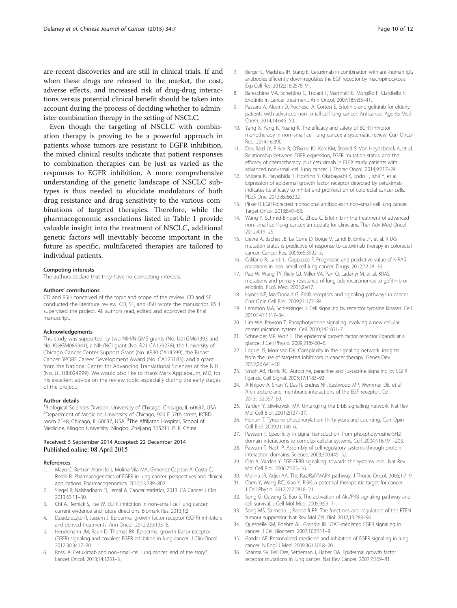<span id="page-9-0"></span>are recent discoveries and are still in clinical trials. If and when these drugs are released to the market, the cost, adverse effects, and increased risk of drug-drug interactions versus potential clinical benefit should be taken into account during the process of deciding whether to administer combination therapy in the setting of NSCLC.

Even though the targeting of NSCLC with combination therapy is proving to be a powerful approach in patients whose tumors are resistant to EGFR inhibition, the mixed clinical results indicate that patient responses to combination therapies can be just as varied as the responses to EGFR inhibition. A more comprehensive understanding of the genetic landscape of NSCLC subtypes is thus needed to elucidate modulators of both drug resistance and drug sensitivity to the various combinations of targeted therapies. Therefore, while the pharmacogenomic associations listed in Table [1](#page-4-0) provide valuable insight into the treatment of NSCLC, additional genetic factors will inevitably become important in the future as specific, multifaceted therapies are tailored to individual patients.

#### Competing interests

The authors declare that they have no competing interests.

#### Authors' contributions

CD and RSH conceived of the topic and scope of the review. CD and SF conducted the literature review. CD, SF, and RSH wrote the manuscript. RSH supervised the project. All authors read, edited and approved the final manuscript.

#### Acknowledgements

This study was supported by two NIH/NIGMS grants (No. U01GM61393 and No. K08GM089941), a NIH/NCI grant (No. R21 CA139278), the University of Chicago Cancer Center Support Grant (No. #P30 CA14599), the Breast Cancer SPORE Career Development Award (No. CA125183), and a grant from the National Center for Advancing Translational Sciences of the NIH (No. UL1RR024999). We would also like to thank Mark Applebaum, MD, for his excellent advice on the review topic, especially during the early stages of the project.

#### Author details

<sup>1</sup> Biological Sciences Division, University of Chicago, Chicago, IL 60637, USA. <sup>2</sup>Department of Medicine, University of Chicago, 900 E 57th street, KCBD room 7148, Chicago, IL 60637, USA. <sup>3</sup>The Affiliated Hospital, School of Medicine, Ningbo University, Ningbo, Zhejiang 315211, P. R. China.

#### Received: 5 September 2014 Accepted: 22 December 2014 Published online: 08 April 2015

#### References

- 1. Mayo C, Bertran-Alamillo J, Molina-Vila MA, Gimenez-Capitan A, Costa C, Rosell R. Pharmacogenetics of EGFR in lung cancer: perspectives and clinical applications. Pharmacogenomics. 2012;13:789–802.
- Siegel R, Naishadham D, Jemal A. Cancer statistics, 2013. CA Cancer J Clin. 2013;63:11–30.
- Chi A, Remick S, Tse W. EGFR inhibition in non-small cell lung cancer: current evidence and future directions. Biomark Res. 2013;1:2.
- 4. Dziadziuszko R, Jassem J. Epidermal growth factor receptor (EGFR) inhibitors and derived treatments. Ann Oncol. 2012;23:x193–6.
- 5. Heuckmann JM, Rauh D, Thomas RK. Epidermal growth factor receptor (EGFR) signaling and covalent EGFR inhibition in lung cancer. J Clin Oncol. 2012;30:3417–20.
- 6. Rossi A. Cetuximab and non–small-cell lung cancer: end of the story? Lancet Oncol. 2013;14:1251–3.
- 7. Berger C, Madshus IH, Stang E. Cetuximab in combination with anti-human IgG antibodies efficiently down-regulates the EGF receptor by macropinocytosis. Exp Cell Res. 2012;318:2578–91.
- 8. Bareschino MA, Schettino C, Troiani T, Martinelli E, Morgillo F, Ciardiello F. Erlotinib in cancer treatment. Ann Oncol. 2007;18:vi35–41.
- 9. Passaro A, Alesini D, Pochesci A, Cortesi E. Erlotinib and gefitinib for elderly patients with advanced non–small-cell lung cancer. Anticancer Agents Med Chem. 2014;14:646–50.
- 10. Yang X, Yang K, Kuang K. The efficacy and safety of EGFR inhibitor monotherapy in non–small cell lung cancer: a systematic review. Curr Oncol Rep. 2014;16:390.
- 11. Douillard JY, Pirker R, O'Byrne KJ, Kerr KM, Storkel S, Von Heydebreck A, et al. Relationship between EGFR expression, EGFR mutation status, and the efficacy of chemotherapy plus cetuximab in FLEX study patients with advanced non–small-cell lung cancer. J Thorac Oncol. 2014;9:717–24.
- 12. Shigeta K, Hayashida T, Hoshino Y, Okabayashi K, Endo T, Ishii Y, et al. Expression of epidermal growth factor receptor detected by cetuximab indicates its efficacy to inhibit and proliferation of colorectal cancer cells. PLoS One. 2013;8:e66302.
- 13. Pirker R. EGFR-directed monoclonal antibodies in non–small cell lung cancer. Target Oncol. 2013;8:47–53.
- 14. Wang Y, Schmid-Bindert G, Zhou C. Erlotinib in the treatment of advanced non–small cell lung cancer: an update for clinicians. Ther Adv Med Oncol. 2012;4:19–29.
- 15. Lievre A, Bachet JB, Le Corre D, Boige V, Landi B, Emile JF, et al. KRAS mutation status is predictive of response to cetuximab therapy in colorectal cancer. Cancer Res. 2006;66:3992–5.
- 16. Califano R, Landi L, Cappuzzo F. Prognostic and predictive value of K-RAS mutations in non–small cell lung cancer. Drugs. 2012;72:28–36.
- 17. Pao W, Wang TY, Riely GJ, Miller VA, Pan Q, Ladanyi M, et al. KRAS mutations and primary resistance of lung adenocarcinomas to gefitinib or erlotinib. PLoS Med. 2005;2:e17.
- 18. Hynes NE, MacDonald G. ErbB receptors and signaling pathways in cancer. Curr Opin Cell Biol. 2009;21:177–84.
- 19. Lemmon MA, Schlessinger J. Cell signaling by receptor tyrosine kinases. Cell. 2010;141:1117–34.
- 20. Lim WA, Pawson T. Phosphotyrosine signaling: evolving a new cellular communication system. Cell. 2010;142:661–7.
- 21. Schneider MR, Wolf E. The epidermal growth factor receptor ligands at a glance. J Cell Physio. 2009;218:460–6.
- 22. Logue JS, Morrison DK. Complexity in the signaling network: insights from the use of targeted inhibitors in cancer therapy. Genes Dev. 2012;26:641–50.
- 23. Singh AB, Harris RC. Autocrine, paracrine and juxtacrine signaling by EGFR ligands. Cell Signal. 2005;17:1183–93.
- Arkhipov A, Shan Y, Das R, Endres NF, Eastwood MP, Wemmer DE, et al. Architecture and membrane interactions of the EGF receptor. Cell. 2013;152:557–69.
- 25. Yarden Y, Sliwkowski MX. Untangling the ErbB signalling network. Nat Rev Mol Cell Biol. 2001;2:127–37.
- 26. Hunter T. Tyrosine phosphorylation: thirty years and counting. Curr Opin Cell Biol. 2009;21:140–6.
- 27. Pawson T. Specificity in signal transduction: from phosphotyrosine-SH2 domain interactions to complex cellular systems. Cell. 2004;116:191–203.
- 28. Pawson T, Nash P. Assembly of cell regulatory systems through protein interaction domains. Science. 2003;300:445–52.
- 29. Citri A, Yarden Y. EGF-ERBB signalling: towards the systems level. Nat Rev Mol Cell Biol. 2006;7:505–16.
- 30. Molina JR, Adjei AA. The Ras/Raf/MAPK pathway. J Thorac Oncol. 2006;1:7–9.
- 31. Chen Y, Wang BC, Xiao Y. PI3K: a potential therapeutic target for cancer. J Cell Physio. 2012;227:2818–21.
- 32. Song G, Ouyang G, Bao S. The activation of Akt/PKB signaling pathway and cell survival. J Cell Mol Med. 2005;9:59–71.
- 33. Song MS, Salmena L, Pandolfi PP. The functions and regulation of the PTEN tumour suppressor. Nat Rev Mol Cell Biol. 2012;13:283–96.
- 34. Quesnelle KM, Boehm AL, Grandis JR. STAT-mediated EGFR signaling in cancer. J Cell Biochem. 2007;102:311–9.
- 35. Gazdar AF. Personalized medicine and inhibition of EGFR signaling in lung cancer. N Engl J Med. 2009;361:1018–20.
- 36. Sharma SV, Bell DW, Settleman J, Haber DA. Epidermal growth factor receptor mutations in lung cancer. Nat Rev Cancer. 2007;7:169–81.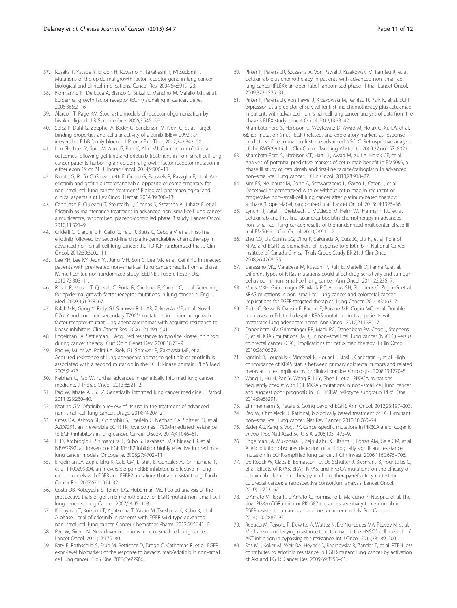- <span id="page-10-0"></span>37. Kosaka T, Yatabe Y, Endoh H, Kuwano H, Takahashi T, Mitsudomi T. Mutations of the epidermal growth factor receptor gene in lung cancer: biological and clinical implications. Cancer Res. 2004;64:8919–23.
- 38. Normanno N, De Luca A, Bianco C, Strizzi L, Mancino M, Maiello MR, et al. Epidermal growth factor receptor (EGFR) signaling in cancer. Gene. 2006;366:2–16.
- 39. Alarcon T, Page KM. Stochastic models of receptor oligomerization by bivalent ligand. J R Soc Interface. 2006;3:545–59.
- 40. Solca F, Dahl G, Zoephel A, Bader G, Sanderson M, Klein C, et al. Target binding properties and cellular activity of afatinib (BIBW 2992), an irreversible ErbB family blocker. J Pharm Exp Ther. 2012;343:342–50.
- 41. Lim SH, Lee JY, Sun JM, Ahn JS, Park K, Ahn MJ. Comparison of clinical outcomes following gefitinib and erlotinib treatment in non–small-cell lung cancer patients harboring an epidermal growth factor receptor mutation in either exon 19 or 21. J Thorac Oncol. 2014;9:506–11.
- 42. Bronte G, Rolfo C, Giovannetti E, Cicero G, Pauwels P, Passiglia F, et al. Are erlotinib and gefitinib interchangeable, opposite or complementary for non–small cell lung cancer treatment? Biological, pharmacological and clinical aspects. Crit Rev Oncol Hemat. 2014;89:300–13.
- 43. Cappuzzo F, Ciuleanu T, Stelmakh L, Cicenas S, Szczesna A, Juhasz E, et al. Erlotinib as maintenance treatment in advanced non–small-cell lung cancer: a multicentre, randomised, placebo-controlled phase 3 study. Lancet Oncol. 2010;11:521–9.
- 44. Gridelli C, Ciardiello F, Gallo C, Feld R, Butts C, Gebbia V, et al. First-line erlotinib followed by second-line cisplatin-gemcitabine chemotherapy in advanced non–small-cell lung cancer: the TORCH randomized trial. J Clin Oncol. 2012;30:3002–11.
- 45. Lee KH, Lee KY, Jeon YJ, Jung MH, Son C, Lee MK, et al. Gefitinib in selected patients with pre-treated non–small-cell lung cancer: results from a phase IV, multicenter, non-randomized study (SELINE). Tuberc Respir Dis. 2012;73:303–11.
- 46. Rosell R, Moran T, Queralt C, Porta R, Cardenal F, Camps C, et al. Screening for epidermal growth factor receptor mutations in lung cancer. N Engl J Med. 2009;361:958–67.
- 47. Balak MN, Gong Y, Riely GJ, Somwar R, Li AR, Zakowski MF, et al. Novel D761Y and common secondary T790M mutations in epidermal growth factor receptor-mutant lung adenocarcinomas with acquired resistance to kinase inhibitors. Clin Cancer Res. 2006;12:6494–501.
- 48. Engelman JA, Settleman J. Acquired resistance to tyrosine kinase inhibitors during cancer therapy. Curr Opin Genet Dev. 2008;18:73–9.
- 49. Pao W, Miller VA, Politi KA, Riely GJ, Somwar R, Zakowski MF, et al. Acquired resistance of lung adenocarcinomas to gefitinib or erlotinib is associated with a second mutation in the EGFR kinase domain. PLoS Med. 2005;2:e73.
- 50. Nebhan C, Pao W. Further advances in genetically informed lung cancer medicine. J Thorac Oncol. 2013;8:521–2.
- 51. Pao W, Iafrate AJ, Su Z. Genetically informed lung cancer medicine. J Pathol. 2011;223:230–40.
- 52. Keating GM. Afatinib: a review of its use in the treatment of advanced non–small cell lung cancer. Drugs. 2014;74:207–21.
- 53. Cross DA, Ashton SE, Ghiorghiu S, Eberlein C, Nebhan CA, Spitzler PJ, et al. AZD9291, an irreversible EGFR TKI, overcomes T790M-mediated resistance to EGFR inhibitors in lung cancer. Cancer Discov. 2014;4:1046–61.
- 54. Li D, Ambrogio L, Shimamura T, Kubo S, Takahashi M, Chirieac LR, et al. BIBW2992, an irreversible EGFR/HER2 inhibitor highly effective in preclinical lung cancer models. Oncogene. 2008;27:4702–11.
- 55. Engelman JA, Zejnullahu K, Gale CM, Lifshits E, Gonzales AJ, Shimamura T, et al. PF00299804, an irreversible pan-ERBB inhibitor, is effective in lung cancer models with EGFR and ERBB2 mutations that are resistant to gefitinib. Cancer Res. 2007;67:11924–32.
- 56. Costa DB, Kobayashi S, Tenen DG, Huberman MS. Pooled analysis of the prospective trials of gefitinib monotherapy for EGFR-mutant non–small cell lung cancers. Lung Cancer. 2007;58:95–103.
- 57. Kobayashi T, Koizumi T, Agatsuma T, Yasuo M, Tsushima K, Kubo K, et al. A phase II trial of erlotinib in patients with EGFR wild-type advanced non–small-cell lung cancer. Cancer Chemother Pharm. 2012;69:1241–6.
- 58. Pao W, Girard N. New driver mutations in non–small-cell lung cancer. Lancet Oncol. 2011;12:175–80.
- 59. Baty F, Rothschild S, Fruh M, Betticher D, Droge C, Cathomas R, et al. EGFR exon-level biomarkers of the response to bevacizumab/erlotinib in non–small cell lung cancer. PLoS One. 2013;8:e72966.
- 60. Pirker R, Pereira JR, Szczesna A, Von Pawel J, Krzakowski M, Ramlau R, et al. Cetuximab plus chemotherapy in patients with advanced non–small-cell lung cancer (FLEX): an open-label randomised phase III trial. Lancet Oncol. 2009;373:1525–31.
- 61. Pirker R, Pereira JR, Von Pawel J, Krzakowski M, Ramlau R, Park K, et al. EGFR expression as a predictor of survival for first-line chemotherapy plus cetuximab in patients with advanced non–small-cell lung cancer: analysis of data from the phase 3 FLEX study. Lancet Oncol. 2012;13:33–42. 60.Ras mutation (mut), EGFR-related, and exploratory markers as response Khambata-Ford S, Harbison C, Woytowitz D, Awad M, Horak C, Xu LA, et al. predictors of cetuximab in first-line advanced NSCLC: Retrospective analyses of the BMS099 trial. J Clin Oncol. (Meeting Abstracts) 2009;27:no.15S: 8021.
- 63. Khambata-Ford S, Harbison CT, Hart LL, Awad M, Xu LA, Horak CE, et al. Analysis of potential predictive markers of cetuximab benefit in BMS099, a phase III study of cetuximab and first-line taxane/carboplatin in advanced non–small-cell lung cancer. J Clin Oncol. 2010;28:918–27.
- 64. Kim ES, Neubauer M, Cohn A, Schwartzberg L, Garbo L, Caton J, et al. Docetaxel or pemetrexed with or without cetuximab in recurrent or progressive non–small-cell lung cancer after platinum-based therapy: a phase 3, open-label, randomised trial. Lancet Oncol. 2013;14:1326–36.
- 65. Lynch TJ, Patel T, Dreisbach L, McCleod M, Heim WJ, Hermann RC, et al. Cetuximab and first-line taxane/carboplatin chemotherapy in advanced non–small-cell lung cancer: results of the randomized multicenter phase III trial BMS099. J Clin Oncol. 2010;28:911–7.
- 66. Zhu CQ, Da Cunha SG, Ding K, Sakurada A, Cutz JC, Liu N, et al. Role of KRAS and EGFR as biomarkers of response to erlotinib in National Cancer Institute of Canada Clinical Trials Group Study BR.21. J Clin Oncol. 2008;26:4268–75.
- 67. Garassino MC, Marabese M, Rusconi P, Rulli E, Martelli O, Farina G, et al. Different types of K-Ras mutations could affect drug sensitivity and tumour behaviour in non–small-cell lung cancer. Ann Oncol. 2011;22:235–7.
- 68. Maus MKH, Grimminger PP, Mack PC, Astrow SH, Stephens C, Zeger G, et al. KRAS mutations in non–small-cell lung cancer and colorectal cancer: implications for EGFR-targeted therapies. Lung Cancer. 2014;83:163–7.
- 69. Ferte C, Besse B, Dansin E, Parent F, Buisine MP, Copin MC, et al. Durable responses to Erlotinib despite KRAS mutations in two patients with metastatic lung adenocarcinoma. Ann Oncol. 2010;21:1385–7.
- 70. Danenberg KD, Grimminger PP, Mack PC, Danenberg PV, Cooc J, Stephens C, et al. KRAS mutations (MTs) in non–small cell lung cancer (NSCLC) versus colorectal cancer (CRC): implications for cetuximab therapy. J Clin Oncol. 2010;28:10529.
- 71. Santini D, Loupakis F, Vincenzi B, Floriani I, Stasi I, Canestrari E, et al. High concordance of KRAS status between primary colorectal tumors and related metastatic sites: implications for clinical practice. Oncologist. 2008;13:1270–5.
- 72. Wang L, Hu H, Pan Y, Wang R, Li Y, Shen L, et al. PIK3CA mutations frequently coexist with EGFR/KRAS mutations in non–small cell lung cancer and suggest poor prognosis in EGFR/KRAS wildtype subgroup. PLoS One. 2014;9:e88291.
- 73. Zimmermann S, Peters S. Going beyond EGFR. Ann Oncol. 2012;23:197–203.
- 74. Pao W, Chmielecki J. Rational, biologically based treatment of EGFR-mutant non–small-cell lung cancer. Nat Rev Cancer. 2010;10:760–74.
- 75. Bader AG, Kang S, Vogt PK. Cancer-specific mutations in PIK3CA are oncogenic in vivo. Proc Natl Acad Sci U S A. 2006;103:1475–9.
- 76. Engelman JA, Mukohara T, Zejnullahu K, Lifshits E, Borras AM, Gale CM, et al. Allelic dilution obscures detection of a biologically significant resistance mutation in EGFR-amplified lung cancer. J Clin Invest. 2006;116:2695–706.
- 77. De Roock W, Claes B, Bernasconi D, De Schutter J, Biesmans B, Fountzilas G, et al. Effects of KRAS, BRAF, NRAS, and PIK3CA mutations on the efficacy of cetuximab plus chemotherapy in chemotherapy-refractory metastatic colorectal cancer: a retrospective consortium analysis. Lancet Oncol. 2010;11:753–62.
- 78. D'Amato V, Rosa R, D'Amato C, Formisano L, Marciano R, Nappi L, et al. The dual PI3K/mTOR inhibitor PKI-587 enhances sensitivity to cetuximab in EGFR-resistant human head and neck cancer models. Br J Cancer. 2014;110:2887–95.
- 79. Rebucci M, Peixoto P, Dewitte A, Wattez N, De Nuncques MA, Rezvoy N, et al. Mechanisms underlying resistance to cetuximab in the HNSCC cell line: role of AKT inhibition in bypassing this resistance. Int J Oncol. 2011;38:189–200.
- 80. Sos ML, Koker M, Weir BA, Heynck S, Rabinovsky R, Zander T, et al. PTEN loss contributes to erlotinib resistance in EGFR-mutant lung cancer by activation of Akt and EGFR. Cancer Res. 2009;69:3256–61.